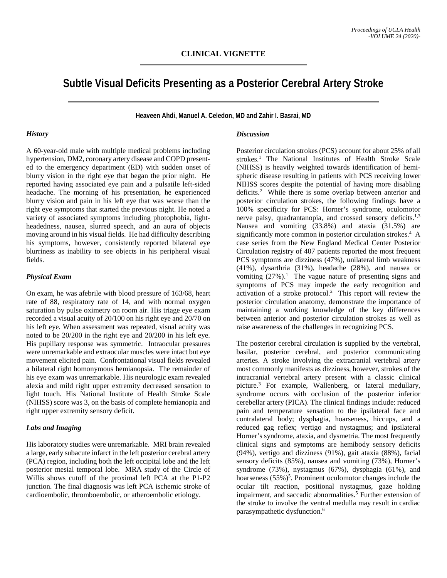# **Subtle Visual Deficits Presenting as a Posterior Cerebral Artery Stroke**

**Heaveen Ahdi, Manuel A. Celedon, MD and Zahir I. Basrai, MD**

#### *History*

A 60-year-old male with multiple medical problems including hypertension, DM2, coronary artery disease and COPD presented to the emergency department (ED) with sudden onset of blurry vision in the right eye that began the prior night. He reported having associated eye pain and a pulsatile left-sided headache. The morning of his presentation, he experienced blurry vision and pain in his left eye that was worse than the right eye symptoms that started the previous night. He noted a variety of associated symptoms including photophobia, lightheadedness, nausea, slurred speech, and an aura of objects moving around in his visual fields. He had difficulty describing his symptoms, however, consistently reported bilateral eye blurriness as inability to see objects in his peripheral visual fields.

### *Physical Exam*

On exam, he was afebrile with blood pressure of 163/68, heart rate of 88, respiratory rate of 14, and with normal oxygen saturation by pulse oximetry on room air. His triage eye exam recorded a visual acuity of 20/100 on his right eye and 20/70 on his left eye. When assessment was repeated, visual acuity was noted to be 20/200 in the right eye and 20/200 in his left eye. His pupillary response was symmetric. Intraocular pressures were unremarkable and extraocular muscles were intact but eye movement elicited pain. Confrontational visual fields revealed a bilateral right homonymous hemianopsia. The remainder of his eye exam was unremarkable. His neurologic exam revealed alexia and mild right upper extremity decreased sensation to light touch. His National Institute of Health Stroke Scale (NIHSS) score was 3, on the basis of complete hemianopia and right upper extremity sensory deficit.

### *Labs and Imaging*

His laboratory studies were unremarkable. MRI brain revealed a large, early subacute infarct in the left posterior cerebral artery (PCA) region, including both the left occipital lobe and the left posterior mesial temporal lobe. MRA study of the Circle of Willis shows cutoff of the proximal left PCA at the P1-P2 junction. The final diagnosis was left PCA ischemic stroke of cardioembolic, thromboembolic, or atheroembolic etiology.

#### *Discussion*

Posterior circulation strokes (PCS) account for about 25% of all strokes.<sup>1</sup> The National Institutes of Health Stroke Scale (NIHSS) is heavily weighted towards identification of hemispheric disease resulting in patients with PCS receiving lower NIHSS scores despite the potential of having more disabling deficits.<sup>2</sup> While there is some overlap between anterior and posterior circulation strokes, the following findings have a 100% specificity for PCS: Horner's syndrome, oculomotor nerve palsy, quadrantanopia, and crossed sensory deficits.<sup>1,3</sup> Nausea and vomiting (33.8%) and ataxia (31.5%) are significantly more common in posterior circulation strokes.<sup>4</sup> A case series from the New England Medical Center Posterior Circulation registry of 407 patients reported the most frequent PCS symptoms are dizziness (47%), unilateral limb weakness (41%), dysarthria (31%), headache (28%), and nausea or vomiting  $(27\%)$ <sup>1</sup>. The vague nature of presenting signs and symptoms of PCS may impede the early recognition and activation of a stroke protocol.<sup>2</sup> This report will review the posterior circulation anatomy, demonstrate the importance of maintaining a working knowledge of the key differences between anterior and posterior circulation strokes as well as raise awareness of the challenges in recognizing PCS.

The posterior cerebral circulation is supplied by the vertebral, basilar, posterior cerebral, and posterior communicating arteries. A stroke involving the extracranial vertebral artery most commonly manifests as dizziness, however, strokes of the intracranial vertebral artery present with a classic clinical picture.3 For example, Wallenberg, or lateral medullary, syndrome occurs with occlusion of the posterior inferior cerebellar artery (PICA). The clinical findings include: reduced pain and temperature sensation to the ipsilateral face and contralateral body; dysphagia, hoarseness, hiccups, and a reduced gag reflex; vertigo and nystagmus; and ipsilateral Horner's syndrome, ataxia, and dysmetria. The most frequently clinical signs and symptoms are hemibody sensory deficits (94%), vertigo and dizziness (91%), gait ataxia (88%), facial sensory deficits (85%), nausea and vomiting (73%), Horner's syndrome (73%), nystagmus (67%), dysphagia (61%), and hoarseness (55%)<sup>5</sup>. Prominent oculomotor changes include the ocular tilt reaction, positional nystagmus, gaze holding impairment, and saccadic abnormalities.<sup>5</sup> Further extension of the stroke to involve the ventral medulla may result in cardiac parasympathetic dysfunction.6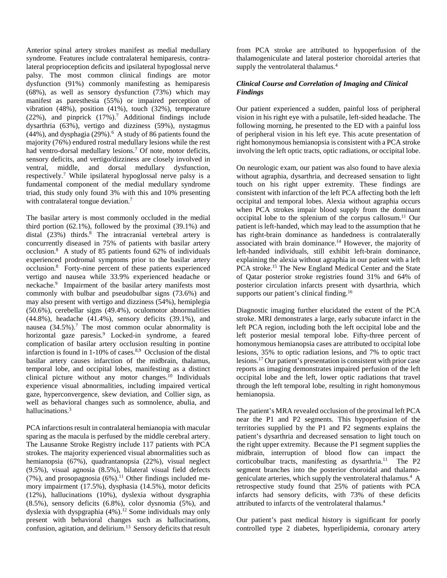Anterior spinal artery strokes manifest as medial medullary syndrome. Features include contralateral hemiparesis, contralateral proprioception deficits and ipsilateral hypoglossal nerve palsy. The most common clinical findings are motor dysfunction (91%) commonly manifesting as hemiparesis (68%), as well as sensory dysfunction (73%) which may manifest as paresthesia (55%) or impaired perception of vibration (48%), position (41%), touch (32%), temperature (22%), and pinprick  $(17\%)$ .<sup>7</sup> Additional findings include dysarthria (63%), vertigo and dizziness (59%), nystagmus  $(44%)$ , and dysphagia  $(29%)$ .<sup>6</sup> A study of 86 patients found the majority (76%) endured rostral medullary lesions while the rest had ventro-dorsal medullary lesions.<sup>7</sup> Of note, motor deficits, sensory deficits, and vertigo/dizziness are closely involved in ventral, middle, and dorsal medullary dysfunction, respectively.7 While ipsilateral hypoglossal nerve palsy is a fundamental component of the medial medullary syndrome triad, this study only found 3% with this and 10% presenting with contralateral tongue deviation.<sup>7</sup>

The basilar artery is most commonly occluded in the medial third portion (62.1%), followed by the proximal (39.1%) and distal  $(23%)$  thirds.<sup>8</sup> The intracranial vertebral artery is concurrently diseased in 75% of patients with basilar artery occlusion.8 A study of 85 patients found 62% of individuals experienced prodromal symptoms prior to the basilar artery occlusion.8 Forty-nine percent of these patients experienced vertigo and nausea while 33.9% experienced headache or neckache.<sup>9</sup> Impairment of the basilar artery manifests most commonly with bulbar and pseudobulbar signs (73.6%) and may also present with vertigo and dizziness (54%), hemiplegia (50.6%), cerebellar signs (49.4%), oculomotor abnormalities (44.8%), headache (41.4%), sensory deficits (39.1%), and nausea  $(34.5\%)$ .<sup>7</sup> The most common ocular abnormality is horizontal gaze paresis.<sup>9</sup> Locked-in syndrome, a feared complication of basilar artery occlusion resulting in pontine infarction is found in  $1-10\%$  of cases.<sup>8,9</sup> Occlusion of the distal basilar artery causes infarction of the midbrain, thalamus, temporal lobe, and occipital lobes, manifesting as a distinct clinical picture without any motor changes.<sup>10</sup> Individuals experience visual abnormalities, including impaired vertical gaze, hyperconvergence, skew deviation, and Collier sign, as well as behavioral changes such as somnolence, abulia, and hallucinations.3

PCA infarctions result in contralateral hemianopia with macular sparing as the macula is perfused by the middle cerebral artery. The Lausanne Stroke Registry include 117 patients with PCA strokes. The majority experienced visual abnormalities such as hemianopsia (67%), quadrantanopsia (22%), visual neglect (9.5%), visual agnosia (8.5%), bilateral visual field defects (7%), and prosopagnosia  $(6%)$ .<sup>11</sup> Other findings included memory impairment (17.5%), dysphasia (14.5%), motor deficits (12%), hallucinations (10%), dyslexia without dysgraphia (8.5%), sensory deficits (6.8%), color dysnomia (5%), and dyslexia with dyspgraphia (4%).<sup>12</sup> Some individuals may only present with behavioral changes such as hallucinations, confusion, agitation, and delirium.<sup>13</sup> Sensory deficits that result from PCA stroke are attributed to hypoperfusion of the thalamogeniculate and lateral posterior choroidal arteries that supply the ventrolateral thalamus.<sup>4</sup>

## *Clinical Course and Correlation of Imaging and Clinical Findings*

Our patient experienced a sudden, painful loss of peripheral vision in his right eye with a pulsatile, left-sided headache. The following morning, he presented to the ED with a painful loss of peripheral vision in his left eye. This acute presentation of right homonymous hemianopsia is consistent with a PCA stroke involving the left optic tracts, optic radiations, or occipital lobe.

On neurologic exam, our patient was also found to have alexia without agraphia, dysarthria, and decreased sensation to light touch on his right upper extremity. These findings are consistent with infarction of the left PCA affecting both the left occipital and temporal lobes. Alexia without agraphia occurs when PCA strokes impair blood supply from the dominant occipital lobe to the splenium of the corpus callosum.<sup>11</sup> Our patient is left-handed, which may lead to the assumption that he has right-brain dominance as handedness is contralaterally associated with brain dominance.<sup>14</sup> However, the majority of left-handed individuals, still exhibit left-brain dominance, explaining the alexia without agraphia in our patient with a left PCA stroke.<sup>15</sup> The New England Medical Center and the State of Qatar posterior stroke registries found 31% and 64% of posterior circulation infarcts present with dysarthria, which supports our patient's clinical finding.<sup>16</sup>

Diagnostic imaging further elucidated the extent of the PCA stroke. MRI demonstrates a large, early subacute infarct in the left PCA region, including both the left occipital lobe and the left posterior mesial temporal lobe. Fifty-three percent of homonymous hemianopsia cases are attributed to occipital lobe lesions, 35% to optic radiation lesions, and 7% to optic tract lesions.17 Our patient's presentation is consistent with prior case reports as imaging demonstrates impaired perfusion of the left occipital lobe and the left, lower optic radiations that travel through the left temporal lobe, resulting in right homonymous hemianopsia.

The patient's MRA revealed occlusion of the proximal left PCA near the P1 and P2 segments. This hypoperfusion of the territories supplied by the P1 and P2 segments explains the patient's dysarthria and decreased sensation to light touch on the right upper extremity. Because the P1 segment supplies the midbrain, interruption of blood flow can impact the corticobulbar tracts, manifesting as dysarthria.<sup>11</sup> The P2 segment branches into the posterior choroidal and thalamogeniculate arteries, which supply the ventrolateral thalamus.<sup>4</sup> A retrospective study found that 25% of patients with PCA infarcts had sensory deficits, with 73% of these deficits attributed to infarcts of the ventrolateral thalamus.<sup>4</sup>

Our patient's past medical history is significant for poorly controlled type 2 diabetes, hyperlipidemia, coronary artery